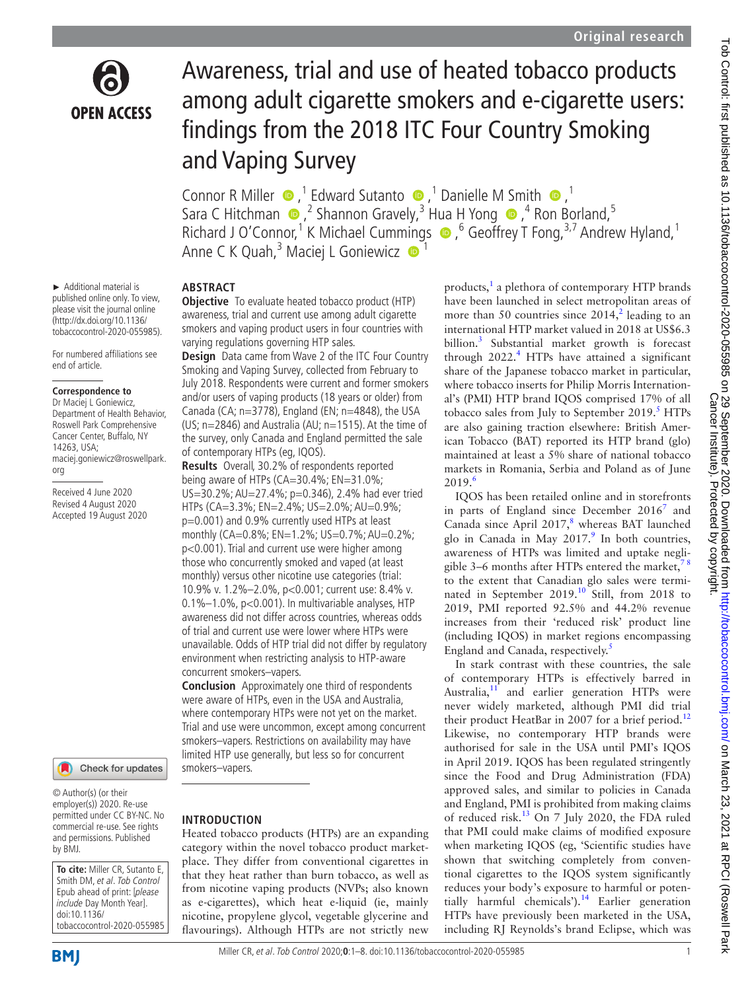

# Awareness, trial and use of heated tobacco products among adult cigarette smokers and e-cigarette users: findings from the 2018 ITC Four Country Smoking and Vaping Survey

Connor R Miller  $\bullet$ ,<sup>1</sup> Edward Sutanto  $\bullet$ ,<sup>1</sup> Danielle M Smith  $\bullet$ ,<sup>1</sup> SaraC Hitchman  $\bigcirc$ ,  $^2$  Shannon Gravely,  $^3$  Hua H Yong  $\bigcirc$ ,  $^4$  Ron Borland,  $^5$ Richard J O'Connor,<sup>1</sup> K Michael Cumm[ing](http://orcid.org/0000-0001-6748-3068)s  $\bullet$ , <sup>6</sup> Geoffrey T Fong, <sup>3,7</sup> Andrew Hyland, <sup>1</sup> Anne C K Quah,<sup>3</sup> Maciej L Goniewicz <sup>● 1</sup>

► Additional material is published online only. To view, please visit the journal online (http://dx.doi.org/10.1136/ tobaccocontrol-2020-055985).

For numbered affiliations see end of article.

#### **Correspondence to**

Dr Maciej L Goniewicz, Department of Health Behavior, Roswell Park Comprehensive Cancer Center, Buffalo, NY 14263, USA; maciej.goniewicz@roswellpark. org

Received 4 June 2020 Revised 4 August 2020 Accepted 19 August 2020



© Author(s) (or their employer(s)) 2020. Re-use permitted under CC BY-NC. No commercial re-use. See rights and permissions. Published by BMJ.

**To cite:** Miller CR, Sutanto E, Smith DM, et al. Tob Control Epub ahead of print: [please include Day Month Year]. doi:10.1136/ tobaccocontrol-2020-055985

**BMI** 

# **ABSTRACT**

**Objective** To evaluate heated tobacco product (HTP) awareness, trial and current use among adult cigarette smokers and vaping product users in four countries with varying regulations governing HTP sales.

**Design** Data came from Wave 2 of the ITC Four Country Smoking and Vaping Survey, collected from February to July 2018. Respondents were current and former smokers and/or users of vaping products (18 years or older) from Canada (CA;  $n=3778$ ), England (EN;  $n=4848$ ), the USA (US; n=2846) and Australia (AU; n=1515). At the time of the survey, only Canada and England permitted the sale of contemporary HTPs (eg, IQOS).

**Results** Overall, 30.2% of respondents reported being aware of HTPs (CA=30.4%; EN=31.0%; US=30.2%; AU=27.4%; p=0.346), 2.4% had ever tried HTPs (CA=3.3%; EN=2.4%; US=2.0%; AU=0.9%; p=0.001) and 0.9% currently used HTPs at least monthly (CA=0.8%; EN=1.2%; US=0.7%; AU=0.2%; p<0.001). Trial and current use were higher among those who concurrently smoked and vaped (at least monthly) versus other nicotine use categories (trial: 10.9% v. 1.2%–2.0%, p<0.001; current use: 8.4% v. 0.1%–1.0%, p<0.001). In multivariable analyses, HTP awareness did not differ across countries, whereas odds of trial and current use were lower where HTPs were unavailable. Odds of HTP trial did not differ by regulatory environment when restricting analysis to HTP-aware concurrent smokers–vapers.

**Conclusion** Approximately one third of respondents were aware of HTPs, even in the USA and Australia, where contemporary HTPs were not yet on the market. Trial and use were uncommon, except among concurrent smokers–vapers. Restrictions on availability may have limited HTP use generally, but less so for concurrent smokers–vapers.

#### **INTRODUCTION**

Heated tobacco products (HTPs) are an expanding category within the novel tobacco product marketplace. They differ from conventional cigarettes in that they heat rather than burn tobacco, as well as from nicotine vaping products (NVPs; also known as e-cigarettes), which heat e-liquid (ie, mainly nicotine, propylene glycol, vegetable glycerine and flavourings). Although HTPs are not strictly new

products,<sup>[1](#page-6-0)</sup> a plethora of contemporary HTP brands have been launched in select metropolitan areas of more than 50 countries since  $2014$  $2014$ ,<sup>2</sup> leading to an international HTP market valued in 2018 at US\$6.3 billion.[3](#page-6-2) Substantial market growth is forecast through  $2022$ .<sup>[4](#page-6-3)</sup> HTPs have attained a significant share of the Japanese tobacco market in particular, where tobacco inserts for Philip Morris International's (PMI) HTP brand IQOS comprised 17% of all tobacco sales from July to September  $2019$ .<sup>5</sup> HTPs are also gaining traction elsewhere: British American Tobacco (BAT) reported its HTP brand (glo) maintained at least a 5% share of national tobacco markets in Romania, Serbia and Poland as of June  $2019.6$  $2019.6$ 

IQOS has been retailed online and in storefronts in parts of England since December  $2016<sup>7</sup>$  $2016<sup>7</sup>$  $2016<sup>7</sup>$  and Canada since April  $2017$ ,<sup>[8](#page-7-2)</sup> whereas BAT launched glo in Canada in May  $2017$ .<sup>[9](#page-7-3)</sup> In both countries, awareness of HTPs was limited and uptake negligible 3–6 months after HTPs entered the market, $\frac{7}{2}$ to the extent that Canadian glo sales were termi-nated in September 2019.<sup>[10](#page-7-4)</sup> Still, from 2018 to 2019, PMI reported 92.5% and 44.2% revenue increases from their 'reduced risk' product line (including IQOS) in market regions encompassing England and Canada, respectively.<sup>[5](#page-6-4)</sup>

In stark contrast with these countries, the sale of contemporary HTPs is effectively barred in Australia, $11$  and earlier generation HTPs were never widely marketed, although PMI did trial their product HeatBar in 2007 for a brief period.<sup>[12](#page-7-6)</sup> Likewise, no contemporary HTP brands were authorised for sale in the USA until PMI's IQOS in April 2019. IQOS has been regulated stringently since the Food and Drug Administration (FDA) approved sales, and similar to policies in Canada and England, PMI is prohibited from making claims of reduced risk.<sup>[13](#page-7-7)</sup> On 7 July 2020, the FDA ruled that PMI could make claims of modified exposure when marketing IQOS (eg, 'Scientific studies have shown that switching completely from conventional cigarettes to the IQOS system significantly reduces your body's exposure to harmful or potentially harmful chemicals').<sup>14</sup> Earlier generation HTPs have previously been marketed in the USA, including RJ Reynolds's brand Eclipse, which was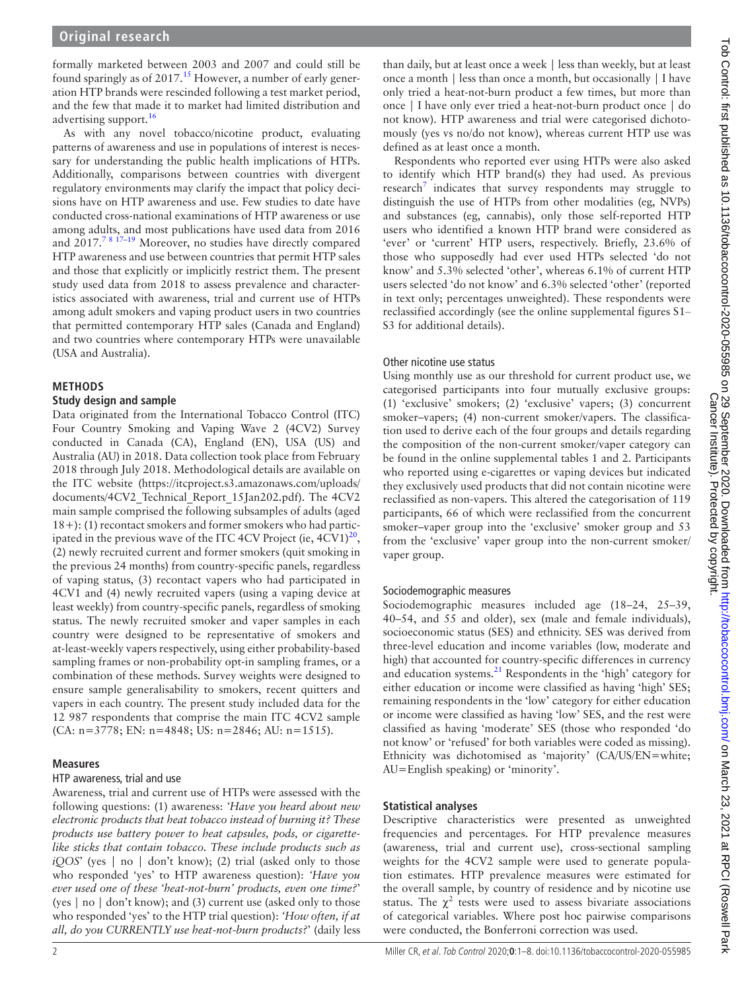formally marketed between 2003 and 2007 and could still be found sparingly as of  $2017<sup>15</sup>$  $2017<sup>15</sup>$  $2017<sup>15</sup>$  However, a number of early generation HTP brands were rescinded following a test market period, and the few that made it to market had limited distribution and advertising support.<sup>[16](#page-7-10)</sup>

As with any novel tobacco/nicotine product, evaluating patterns of awareness and use in populations of interest is necessary for understanding the public health implications of HTPs. Additionally, comparisons between countries with divergent regulatory environments may clarify the impact that policy decisions have on HTP awareness and use. Few studies to date have conducted cross-national examinations of HTP awareness or use among adults, and most publications have used data from 2016 and  $2017.^{78}$  17-19 Moreover, no studies have directly compared HTP awareness and use between countries that permit HTP sales and those that explicitly or implicitly restrict them. The present study used data from 2018 to assess prevalence and characteristics associated with awareness, trial and current use of HTPs among adult smokers and vaping product users in two countries that permitted contemporary HTP sales (Canada and England) and two countries where contemporary HTPs were unavailable (USA and Australia).

## **METHODS**

## **Study design and sample**

Data originated from the International Tobacco Control (ITC) Four Country Smoking and Vaping Wave 2 (4CV2) Survey conducted in Canada (CA), England (EN), USA (US) and Australia (AU) in 2018. Data collection took place from February 2018 through July 2018. Methodological details are available on the ITC website ([https://itcproject.s3.amazonaws.com/uploads/](https://itcproject.s3.amazonaws.com/uploads/documents/4CV2_Technical_Report_15Jan202.pdf) [documents/4CV2\\_Technical\\_Report\\_15Jan202.pdf\)](https://itcproject.s3.amazonaws.com/uploads/documents/4CV2_Technical_Report_15Jan202.pdf). The 4CV2 main sample comprised the following subsamples of adults (aged 18+): (1) recontact smokers and former smokers who had participated in the previous wave of the ITC 4CV Project (ie,  $4CV1<sup>20</sup>$  $4CV1<sup>20</sup>$  $4CV1<sup>20</sup>$ , (2) newly recruited current and former smokers (quit smoking in the previous 24 months) from country-specific panels, regardless of vaping status, (3) recontact vapers who had participated in 4CV1 and (4) newly recruited vapers (using a vaping device at least weekly) from country-specific panels, regardless of smoking status. The newly recruited smoker and vaper samples in each country were designed to be representative of smokers and at-least-weekly vapers respectively, using either probability-based sampling frames or non-probability opt-in sampling frames, or a combination of these methods. Survey weights were designed to ensure sample generalisability to smokers, recent quitters and vapers in each country. The present study included data for the 12 987 respondents that comprise the main ITC 4CV2 sample (CA: n=3778; EN: n=4848; US: n=2846; AU: n=1515).

## **Measures**

#### HTP awareness, trial and use

Awareness, trial and current use of HTPs were assessed with the following questions: (1) awareness: *'Have you heard about new electronic products that heat tobacco instead of burning it? These products use battery power to heat capsules, pods, or cigarettelike sticks that contain tobacco. These include products such as iQOS*' (yes | no | don't know); (2) trial (asked only to those who responded 'yes' to HTP awareness question): *'Have you ever used one of these 'heat-not-burn' products, even one time?*' (yes | no | don't know); and (3) current use (asked only to those who responded 'yes' to the HTP trial question): *'How often, if at all, do you CURRENTLY use heat-not-burn products?*' (daily less

than daily, but at least once a week | less than weekly, but at least once a month | less than once a month, but occasionally | I have only tried a heat-not-burn product a few times, but more than once | I have only ever tried a heat-not-burn product once | do not know). HTP awareness and trial were categorised dichotomously (yes vs no/do not know), whereas current HTP use was defined as at least once a month.

Respondents who reported ever using HTPs were also asked to identify which HTP brand(s) they had used. As previous research<sup>[7](#page-7-1)</sup> indicates that survey respondents may struggle to distinguish the use of HTPs from other modalities (eg, NVPs) and substances (eg, cannabis), only those self-reported HTP users who identified a known HTP brand were considered as 'ever' or 'current' HTP users, respectively. Briefly, 23.6% of those who supposedly had ever used HTPs selected 'do not know' and 5.3% selected 'other', whereas 6.1% of current HTP users selected 'do not know' and 6.3% selected 'other' (reported in text only; percentages unweighted). These respondents were reclassified accordingly (see the [online supplemental figures S1](https://dx.doi.org/10.1136/tobaccocontrol-2020-055985)– [S3](https://dx.doi.org/10.1136/tobaccocontrol-2020-055985) for additional details).

## Other nicotine use status

Using monthly use as our threshold for current product use, we categorised participants into four mutually exclusive groups: (1) 'exclusive' smokers; (2) 'exclusive' vapers; (3) concurrent smoker–vapers; (4) non-current smoker/vapers. The classification used to derive each of the four groups and details regarding the composition of the non-current smoker/vaper category can be found in the [online supplemental tables 1 and 2](https://dx.doi.org/10.1136/tobaccocontrol-2020-055985). Participants who reported using e-cigarettes or vaping devices but indicated they exclusively used products that did not contain nicotine were reclassified as non-vapers. This altered the categorisation of 119 participants, 66 of which were reclassified from the concurrent smoker–vaper group into the 'exclusive' smoker group and 53 from the 'exclusive' vaper group into the non-current smoker/ vaper group.

## Sociodemographic measures

Sociodemographic measures included age (18–24, 25–39, 40–54, and 55 and older), sex (male and female individuals), socioeconomic status (SES) and ethnicity. SES was derived from three-level education and income variables (low, moderate and high) that accounted for country-specific differences in currency and education systems.[21](#page-7-12) Respondents in the 'high' category for either education or income were classified as having 'high' SES; remaining respondents in the 'low' category for either education or income were classified as having 'low' SES, and the rest were classified as having 'moderate' SES (those who responded 'do not know' or 'refused' for both variables were coded as missing). Ethnicity was dichotomised as 'majority' (CA/US/EN=white; AU=English speaking) or 'minority'.

## **Statistical analyses**

Descriptive characteristics were presented as unweighted frequencies and percentages. For HTP prevalence measures (awareness, trial and current use), cross-sectional sampling weights for the 4CV2 sample were used to generate population estimates. HTP prevalence measures were estimated for the overall sample, by country of residence and by nicotine use status. The  $\chi^2$  tests were used to assess bivariate associations of categorical variables. Where post hoc pairwise comparisons were conducted, the Bonferroni correction was used.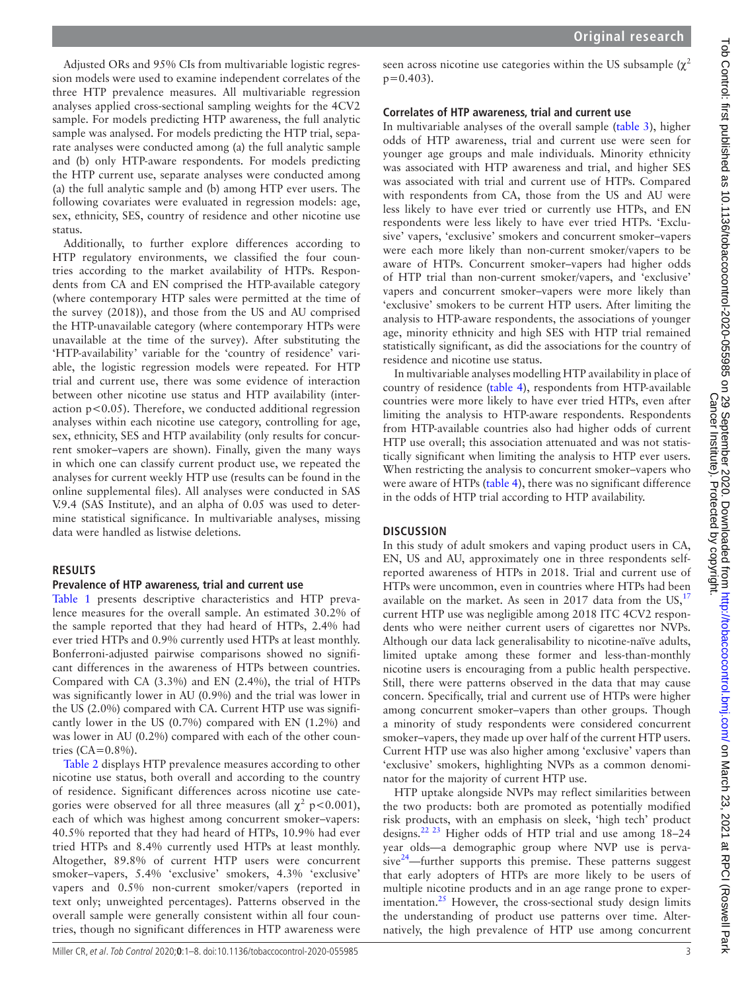Adjusted ORs and 95% CIs from multivariable logistic regression models were used to examine independent correlates of the three HTP prevalence measures. All multivariable regression analyses applied cross-sectional sampling weights for the 4CV2 sample. For models predicting HTP awareness, the full analytic sample was analysed. For models predicting the HTP trial, separate analyses were conducted among (a) the full analytic sample and (b) only HTP-aware respondents. For models predicting the HTP current use, separate analyses were conducted among (a) the full analytic sample and (b) among HTP ever users. The following covariates were evaluated in regression models: age, sex, ethnicity, SES, country of residence and other nicotine use status.

Additionally, to further explore differences according to HTP regulatory environments, we classified the four countries according to the market availability of HTPs. Respondents from CA and EN comprised the HTP-available category (where contemporary HTP sales were permitted at the time of the survey (2018)), and those from the US and AU comprised the HTP-unavailable category (where contemporary HTPs were unavailable at the time of the survey). After substituting the 'HTP-availability' variable for the 'country of residence' variable, the logistic regression models were repeated. For HTP trial and current use, there was some evidence of interaction between other nicotine use status and HTP availability (interaction p<0.05). Therefore, we conducted additional regression analyses within each nicotine use category, controlling for age, sex, ethnicity, SES and HTP availability (only results for concurrent smoker–vapers are shown). Finally, given the many ways in which one can classify current product use, we repeated the analyses for current weekly HTP use (results can be found in the [online supplemental files\)](https://dx.doi.org/10.1136/tobaccocontrol-2020-055985). All analyses were conducted in SAS V.9.4 (SAS Institute), and an alpha of 0.05 was used to determine statistical significance. In multivariable analyses, missing data were handled as listwise deletions.

#### **RESULTS**

#### **Prevalence of HTP awareness, trial and current use**

[Table](#page-3-0) 1 presents descriptive characteristics and HTP prevalence measures for the overall sample. An estimated 30.2% of the sample reported that they had heard of HTPs, 2.4% had ever tried HTPs and 0.9% currently used HTPs at least monthly. Bonferroni-adjusted pairwise comparisons showed no significant differences in the awareness of HTPs between countries. Compared with CA (3.3%) and EN (2.4%), the trial of HTPs was significantly lower in AU (0.9%) and the trial was lower in the US (2.0%) compared with CA. Current HTP use was significantly lower in the US (0.7%) compared with EN (1.2%) and was lower in AU (0.2%) compared with each of the other countries  $(CA=0.8\%)$ .

[Table](#page-4-0) 2 displays HTP prevalence measures according to other nicotine use status, both overall and according to the country of residence. Significant differences across nicotine use categories were observed for all three measures (all  $\chi^2$  p<0.001), each of which was highest among concurrent smoker–vapers: 40.5% reported that they had heard of HTPs, 10.9% had ever tried HTPs and 8.4% currently used HTPs at least monthly. Altogether, 89.8% of current HTP users were concurrent smoker–vapers, 5.4% 'exclusive' smokers, 4.3% 'exclusive' vapers and 0.5% non-current smoker/vapers (reported in text only; unweighted percentages). Patterns observed in the overall sample were generally consistent within all four countries, though no significant differences in HTP awareness were

Miller CR, et al. Tob Control 2020;**0**:1–8. doi:10.1136/tobaccocontrol-2020-055985 3

seen across nicotine use categories within the US subsample  $(\chi^2)$  $p=0.403$ ).

#### **Correlates of HTP awareness, trial and current use**

In multivariable analyses of the overall sample ([table](#page-5-0) 3), higher odds of HTP awareness, trial and current use were seen for younger age groups and male individuals. Minority ethnicity was associated with HTP awareness and trial, and higher SES was associated with trial and current use of HTPs. Compared with respondents from CA, those from the US and AU were less likely to have ever tried or currently use HTPs, and EN respondents were less likely to have ever tried HTPs. 'Exclusive' vapers, 'exclusive' smokers and concurrent smoker–vapers were each more likely than non-current smoker/vapers to be aware of HTPs. Concurrent smoker–vapers had higher odds of HTP trial than non-current smoker/vapers, and 'exclusive' vapers and concurrent smoker–vapers were more likely than 'exclusive' smokers to be current HTP users. After limiting the analysis to HTP-aware respondents, the associations of younger age, minority ethnicity and high SES with HTP trial remained statistically significant, as did the associations for the country of residence and nicotine use status.

In multivariable analyses modelling HTP availability in place of country of residence [\(table](#page-6-5) 4), respondents from HTP-available countries were more likely to have ever tried HTPs, even after limiting the analysis to HTP-aware respondents. Respondents from HTP-available countries also had higher odds of current HTP use overall; this association attenuated and was not statistically significant when limiting the analysis to HTP ever users. When restricting the analysis to concurrent smoker–vapers who were aware of HTPs [\(table](#page-6-5) 4), there was no significant difference in the odds of HTP trial according to HTP availability.

#### **DISCUSSION**

In this study of adult smokers and vaping product users in CA, EN, US and AU, approximately one in three respondents selfreported awareness of HTPs in 2018. Trial and current use of HTPs were uncommon, even in countries where HTPs had been available on the market. As seen in 20[17](#page-7-13) data from the  $US<sub>1</sub><sup>17</sup>$ current HTP use was negligible among 2018 ITC 4CV2 respondents who were neither current users of cigarettes nor NVPs. Although our data lack generalisability to nicotine-naïve adults, limited uptake among these former and less-than-monthly nicotine users is encouraging from a public health perspective. Still, there were patterns observed in the data that may cause concern. Specifically, trial and current use of HTPs were higher among concurrent smoker–vapers than other groups. Though a minority of study respondents were considered concurrent smoker–vapers, they made up over half of the current HTP users. Current HTP use was also higher among 'exclusive' vapers than 'exclusive' smokers, highlighting NVPs as a common denominator for the majority of current HTP use.

HTP uptake alongside NVPs may reflect similarities between the two products: both are promoted as potentially modified risk products, with an emphasis on sleek, 'high tech' product designs.[22 23](#page-7-14) Higher odds of HTP trial and use among 18–24 year olds—a demographic group where NVP use is perva $sive^{24}$ —further supports this premise. These patterns suggest that early adopters of HTPs are more likely to be users of multiple nicotine products and in an age range prone to experimentation. $^{25}$  However, the cross-sectional study design limits the understanding of product use patterns over time. Alternatively, the high prevalence of HTP use among concurrent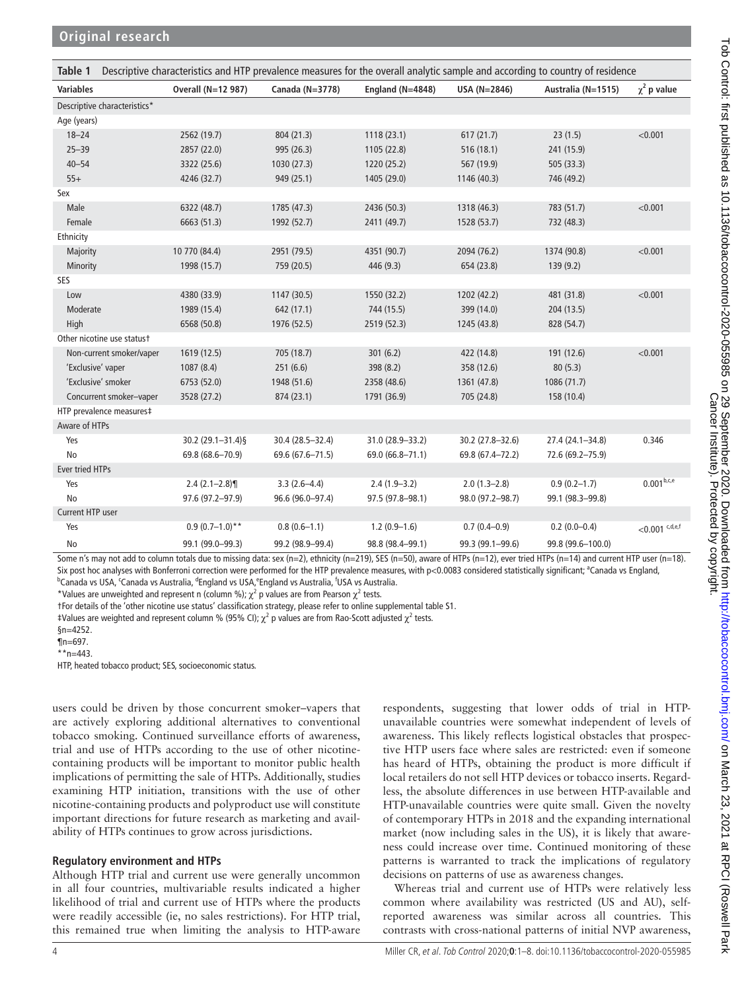<span id="page-3-0"></span>

| Descriptive characteristics and HTP prevalence measures for the overall analytic sample and according to country of residence<br>Table 1 |                    |                  |                      |                  |                    |                     |
|------------------------------------------------------------------------------------------------------------------------------------------|--------------------|------------------|----------------------|------------------|--------------------|---------------------|
| <b>Variables</b>                                                                                                                         | Overall (N=12 987) | Canada (N=3778)  | England ( $N=4848$ ) | USA (N=2846)     | Australia (N=1515) | $\chi^2$ p value    |
| Descriptive characteristics*                                                                                                             |                    |                  |                      |                  |                    |                     |
| Age (years)                                                                                                                              |                    |                  |                      |                  |                    |                     |
| $18 - 24$                                                                                                                                | 2562 (19.7)        | 804 (21.3)       | 1118(23.1)           | 617(21.7)        | 23(1.5)            | < 0.001             |
| $25 - 39$                                                                                                                                | 2857 (22.0)        | 995 (26.3)       | 1105 (22.8)          | 516 (18.1)       | 241 (15.9)         |                     |
| $40 - 54$                                                                                                                                | 3322 (25.6)        | 1030 (27.3)      | 1220 (25.2)          | 567 (19.9)       | 505 (33.3)         |                     |
| $55+$                                                                                                                                    | 4246 (32.7)        | 949 (25.1)       | 1405 (29.0)          | 1146 (40.3)      | 746 (49.2)         |                     |
| Sex                                                                                                                                      |                    |                  |                      |                  |                    |                     |
| Male                                                                                                                                     | 6322 (48.7)        | 1785 (47.3)      | 2436 (50.3)          | 1318 (46.3)      | 783 (51.7)         | < 0.001             |
| Female                                                                                                                                   | 6663 (51.3)        | 1992 (52.7)      | 2411 (49.7)          | 1528 (53.7)      | 732 (48.3)         |                     |
| Ethnicity                                                                                                                                |                    |                  |                      |                  |                    |                     |
| Majority                                                                                                                                 | 10 770 (84.4)      | 2951 (79.5)      | 4351 (90.7)          | 2094 (76.2)      | 1374 (90.8)        | < 0.001             |
| Minority                                                                                                                                 | 1998 (15.7)        | 759 (20.5)       | 446 (9.3)            | 654 (23.8)       | 139 (9.2)          |                     |
| SES                                                                                                                                      |                    |                  |                      |                  |                    |                     |
| Low                                                                                                                                      | 4380 (33.9)        | 1147 (30.5)      | 1550 (32.2)          | 1202 (42.2)      | 481 (31.8)         | < 0.001             |
| Moderate                                                                                                                                 | 1989 (15.4)        | 642 (17.1)       | 744 (15.5)           | 399 (14.0)       | 204 (13.5)         |                     |
| High                                                                                                                                     | 6568 (50.8)        | 1976 (52.5)      | 2519 (52.3)          | 1245 (43.8)      | 828 (54.7)         |                     |
| Other nicotine use statust                                                                                                               |                    |                  |                      |                  |                    |                     |
| Non-current smoker/vaper                                                                                                                 | 1619 (12.5)        | 705 (18.7)       | 301(6.2)             | 422 (14.8)       | 191 (12.6)         | < 0.001             |
| 'Exclusive' vaper                                                                                                                        | 1087(8.4)          | 251 (6.6)        | 398 (8.2)            | 358 (12.6)       | 80(5.3)            |                     |
| 'Exclusive' smoker                                                                                                                       | 6753 (52.0)        | 1948 (51.6)      | 2358 (48.6)          | 1361 (47.8)      | 1086 (71.7)        |                     |
| Concurrent smoker-vaper                                                                                                                  | 3528 (27.2)        | 874 (23.1)       | 1791 (36.9)          | 705 (24.8)       | 158 (10.4)         |                     |
| HTP prevalence measures‡                                                                                                                 |                    |                  |                      |                  |                    |                     |
| Aware of HTPs                                                                                                                            |                    |                  |                      |                  |                    |                     |
| Yes                                                                                                                                      | 30.2 (29.1-31.4) § | 30.4 (28.5-32.4) | 31.0 (28.9-33.2)     | 30.2 (27.8-32.6) | 27.4 (24.1-34.8)   | 0.346               |
| <b>No</b>                                                                                                                                | 69.8 (68.6-70.9)   | 69.6 (67.6-71.5) | 69.0 (66.8-71.1)     | 69.8 (67.4-72.2) | 72.6 (69.2-75.9)   |                     |
| Ever tried HTPs                                                                                                                          |                    |                  |                      |                  |                    |                     |
| Yes                                                                                                                                      | $2.4(2.1-2.8)$     | $3.3(2.6-4.4)$   | $2.4(1.9-3.2)$       | $2.0(1.3-2.8)$   | $0.9(0.2-1.7)$     | $0.001^{b,c,e}$     |
| <b>No</b>                                                                                                                                | 97.6 (97.2-97.9)   | 96.6 (96.0-97.4) | 97.5 (97.8-98.1)     | 98.0 (97.2-98.7) | 99.1 (98.3-99.8)   |                     |
| Current HTP user                                                                                                                         |                    |                  |                      |                  |                    |                     |
| Yes                                                                                                                                      | $0.9(0.7-1.0)**$   | $0.8(0.6-1.1)$   | $1.2(0.9-1.6)$       | $0.7(0.4 - 0.9)$ | $0.2(0.0-0.4)$     | $<$ 0.001 $c,d,e,f$ |
| No                                                                                                                                       | 99.1 (99.0-99.3)   | 99.2 (98.9-99.4) | 98.8 (98.4-99.1)     | 99.3 (99.1-99.6) | 99.8 (99.6-100.0)  |                     |

Some n's may not add to column totals due to missing data: sex (n=2), ethnicity (n=219), SES (n=50), aware of HTPs (n=12), ever tried HTPs (n=14) and current HTP user (n=18). Six post hoc analyses with Bonferroni correction were performed for the HTP prevalence measures, with p<0.0083 considered statistically significant; <sup>a</sup>Canada vs England, Canada vs USA, <sup>c</sup>Canada vs Australia, <sup>d</sup>England vs USA, <sup>e</sup>England vs Australia, <sup>f</sup>USA vs Australia.

\*Values are unweighted and represent n (column %);  $\chi^2$  p values are from Pearson  $\chi^2$  tests.

†For details of the 'other nicotine use status' classification strategy, please refer to [online supplemental table S1.](https://dx.doi.org/10.1136/tobaccocontrol-2020-055985)

‡Values are weighted and represent column % (95% CI);  $\chi^2$  p values are from Rao-Scott adjusted  $\chi^2$  tests.

§n=4252.

¶n=697.

 $*n=443$ .

HTP, heated tobacco product; SES, socioeconomic status.

users could be driven by those concurrent smoker–vapers that are actively exploring additional alternatives to conventional tobacco smoking. Continued surveillance efforts of awareness, trial and use of HTPs according to the use of other nicotinecontaining products will be important to monitor public health implications of permitting the sale of HTPs. Additionally, studies examining HTP initiation, transitions with the use of other nicotine-containing products and polyproduct use will constitute important directions for future research as marketing and availability of HTPs continues to grow across jurisdictions.

#### **Regulatory environment and HTPs**

Although HTP trial and current use were generally uncommon in all four countries, multivariable results indicated a higher likelihood of trial and current use of HTPs where the products were readily accessible (ie, no sales restrictions). For HTP trial, this remained true when limiting the analysis to HTP-aware

respondents, suggesting that lower odds of trial in HTPunavailable countries were somewhat independent of levels of awareness. This likely reflects logistical obstacles that prospective HTP users face where sales are restricted: even if someone has heard of HTPs, obtaining the product is more difficult if local retailers do not sell HTP devices or tobacco inserts. Regardless, the absolute differences in use between HTP-available and HTP-unavailable countries were quite small. Given the novelty of contemporary HTPs in 2018 and the expanding international market (now including sales in the US), it is likely that awareness could increase over time. Continued monitoring of these patterns is warranted to track the implications of regulatory decisions on patterns of use as awareness changes.

Whereas trial and current use of HTPs were relatively less common where availability was restricted (US and AU), selfreported awareness was similar across all countries. This contrasts with cross-national patterns of initial NVP awareness,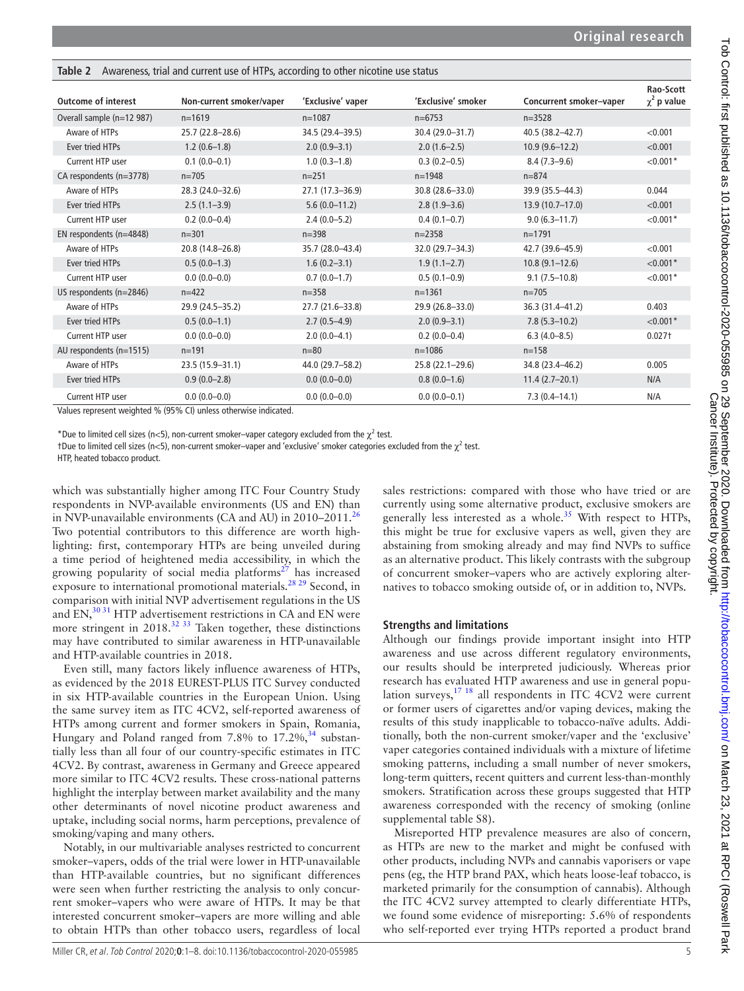<span id="page-4-0"></span>**Table 2** Awareness, trial and current use of HTPs, according to other nicotine use status

| <b>Outcome of interest</b> | Non-current smoker/vaper                                          | 'Exclusive' vaper | 'Exclusive' smoker  | Concurrent smoker-vaper | Rao-Scott<br>$\chi^2$ p value |
|----------------------------|-------------------------------------------------------------------|-------------------|---------------------|-------------------------|-------------------------------|
| Overall sample (n=12 987)  | $n=1619$                                                          | $n = 1087$        | $n=6753$            | $n = 3528$              |                               |
| Aware of HTPs              | $25.7(22.8 - 28.6)$                                               | 34.5 (29.4-39.5)  | 30.4 (29.0-31.7)    | 40.5 (38.2-42.7)        | < 0.001                       |
| <b>Ever tried HTPs</b>     | $1.2(0.6-1.8)$                                                    | $2.0(0.9-3.1)$    | $2.0(1.6-2.5)$      | $10.9(9.6-12.2)$        | < 0.001                       |
| Current HTP user           | $0.1(0.0-0.1)$                                                    | $1.0(0.3-1.8)$    | $0.3(0.2-0.5)$      | $8.4(7.3-9.6)$          | $< 0.001*$                    |
| CA respondents (n=3778)    | $n = 705$                                                         | $n = 251$         | $n = 1948$          | $n = 874$               |                               |
| Aware of HTPs              | 28.3 (24.0-32.6)                                                  | 27.1 (17.3-36.9)  | 30.8 (28.6-33.0)    | 39.9 (35.5-44.3)        | 0.044                         |
| Ever tried HTPs            | $2.5(1.1-3.9)$                                                    | $5.6(0.0-11.2)$   | $2.8(1.9-3.6)$      | $13.9(10.7-17.0)$       | < 0.001                       |
| Current HTP user           | $0.2(0.0-0.4)$                                                    | $2.4(0.0-5.2)$    | $0.4(0.1-0.7)$      | $9.0(6.3 - 11.7)$       | $< 0.001*$                    |
| EN respondents (n=4848)    | $n = 301$                                                         | $n = 398$         | $n = 2358$          | $n=1791$                |                               |
| Aware of HTPs              | 20.8 (14.8-26.8)                                                  | 35.7 (28.0-43.4)  | 32.0 (29.7-34.3)    | 42.7 (39.6-45.9)        | < 0.001                       |
| Ever tried HTPs            | $0.5(0.0-1.3)$                                                    | $1.6(0.2 - 3.1)$  | $1.9(1.1 - 2.7)$    | $10.8(9.1 - 12.6)$      | $< 0.001*$                    |
| Current HTP user           | $0.0(0.0-0.0)$                                                    | $0.7(0.0-1.7)$    | $0.5(0.1-0.9)$      | $9.1(7.5-10.8)$         | $< 0.001*$                    |
| US respondents (n=2846)    | $n = 422$                                                         | $n = 358$         | $n = 1361$          | $n = 705$               |                               |
| Aware of HTPs              | 29.9 (24.5-35.2)                                                  | 27.7 (21.6-33.8)  | 29.9 (26.8-33.0)    | 36.3 (31.4-41.2)        | 0.403                         |
| Ever tried HTPs            | $0.5(0.0-1.1)$                                                    | $2.7(0.5-4.9)$    | $2.0(0.9 - 3.1)$    | $7.8(5.3-10.2)$         | $< 0.001*$                    |
| Current HTP user           | $0.0(0.0-0.0)$                                                    | $2.0(0.0-4.1)$    | $0.2(0.0-0.4)$      | $6.3(4.0-8.5)$          | $0.027+$                      |
| AU respondents (n=1515)    | $n = 191$                                                         | $n=80$            | $n = 1086$          | $n = 158$               |                               |
| Aware of HTPs              | 23.5 (15.9-31.1)                                                  | 44.0 (29.7-58.2)  | $25.8(22.1 - 29.6)$ | 34.8 (23.4-46.2)        | 0.005                         |
| Ever tried HTPs            | $0.9(0.0-2.8)$                                                    | $0.0(0.0-0.0)$    | $0.8(0.0-1.6)$      | $11.4(2.7-20.1)$        | N/A                           |
| Current HTP user           | $0.0(0.0-0.0)$                                                    | $0.0(0.0-0.0)$    | $0.0(0.0-0.1)$      | $7.3(0.4 - 14.1)$       | N/A                           |
|                            | Values represent woighted 0/ (QEO/ CI) unless otherwise indicated |                   |                     |                         |                               |

Values represent weighted % (95% CI) unless otherwise indicated.

\*Due to limited cell sizes (n<5), non-current smoker–vaper category excluded from the  $\chi^2$  test.

†Due to limited cell sizes (n<5), non-current smoker–vaper and 'exclusive' smoker categories excluded from the  $\chi^2$  test.

HTP, heated tobacco product.

which was substantially higher among ITC Four Country Study respondents in NVP-available environments (US and EN) than in NVP-unavailable environments (CA and AU) in  $2010-2011$ <sup>[26](#page-7-17)</sup> Two potential contributors to this difference are worth highlighting: first, contemporary HTPs are being unveiled during a time period of heightened media accessibility, in which the growing popularity of social media platforms<sup>27</sup> has increased exposure to international promotional materials.<sup>28</sup> 29 Second, in comparison with initial NVP advertisement regulations in the US and  $EN$ ,<sup>30 31</sup> HTP advertisement restrictions in CA and EN were more stringent in  $2018^{32}$  33 Taken together, these distinctions may have contributed to similar awareness in HTP-unavailable and HTP-available countries in 2018.

Even still, many factors likely influence awareness of HTPs, as evidenced by the 2018 EUREST-PLUS ITC Survey conducted in six HTP-available countries in the European Union. Using the same survey item as ITC 4CV2, self-reported awareness of HTPs among current and former smokers in Spain, Romania, Hungary and Poland ranged from 7.8% to  $17.2\%$ ,  $34$  substantially less than all four of our country-specific estimates in ITC 4CV2. By contrast, awareness in Germany and Greece appeared more similar to ITC 4CV2 results. These cross-national patterns highlight the interplay between market availability and the many other determinants of novel nicotine product awareness and uptake, including social norms, harm perceptions, prevalence of smoking/vaping and many others.

Notably, in our multivariable analyses restricted to concurrent smoker–vapers, odds of the trial were lower in HTP-unavailable than HTP-available countries, but no significant differences were seen when further restricting the analysis to only concurrent smoker–vapers who were aware of HTPs. It may be that interested concurrent smoker–vapers are more willing and able to obtain HTPs than other tobacco users, regardless of local

sales restrictions: compared with those who have tried or are currently using some alternative product, exclusive smokers are generally less interested as a whole.<sup>[35](#page-7-23)</sup> With respect to HTPs, this might be true for exclusive vapers as well, given they are abstaining from smoking already and may find NVPs to suffice as an alternative product. This likely contrasts with the subgroup of concurrent smoker–vapers who are actively exploring alternatives to tobacco smoking outside of, or in addition to, NVPs.

#### **Strengths and limitations**

Although our findings provide important insight into HTP awareness and use across different regulatory environments, our results should be interpreted judiciously. Whereas prior research has evaluated HTP awareness and use in general population surveys,  $17 \frac{18}{18}$  all respondents in ITC 4CV2 were current or former users of cigarettes and/or vaping devices, making the results of this study inapplicable to tobacco-naïve adults. Additionally, both the non-current smoker/vaper and the 'exclusive' vaper categories contained individuals with a mixture of lifetime smoking patterns, including a small number of never smokers, long-term quitters, recent quitters and current less-than-monthly smokers. Stratification across these groups suggested that HTP awareness corresponded with the recency of smoking [\(online](https://dx.doi.org/10.1136/tobaccocontrol-2020-055985) [supplemental table S8\)](https://dx.doi.org/10.1136/tobaccocontrol-2020-055985).

Misreported HTP prevalence measures are also of concern, as HTPs are new to the market and might be confused with other products, including NVPs and cannabis vaporisers or vape pens (eg, the HTP brand PAX, which heats loose-leaf tobacco, is marketed primarily for the consumption of cannabis). Although the ITC 4CV2 survey attempted to clearly differentiate HTPs, we found some evidence of misreporting: 5.6% of respondents who self-reported ever trying HTPs reported a product brand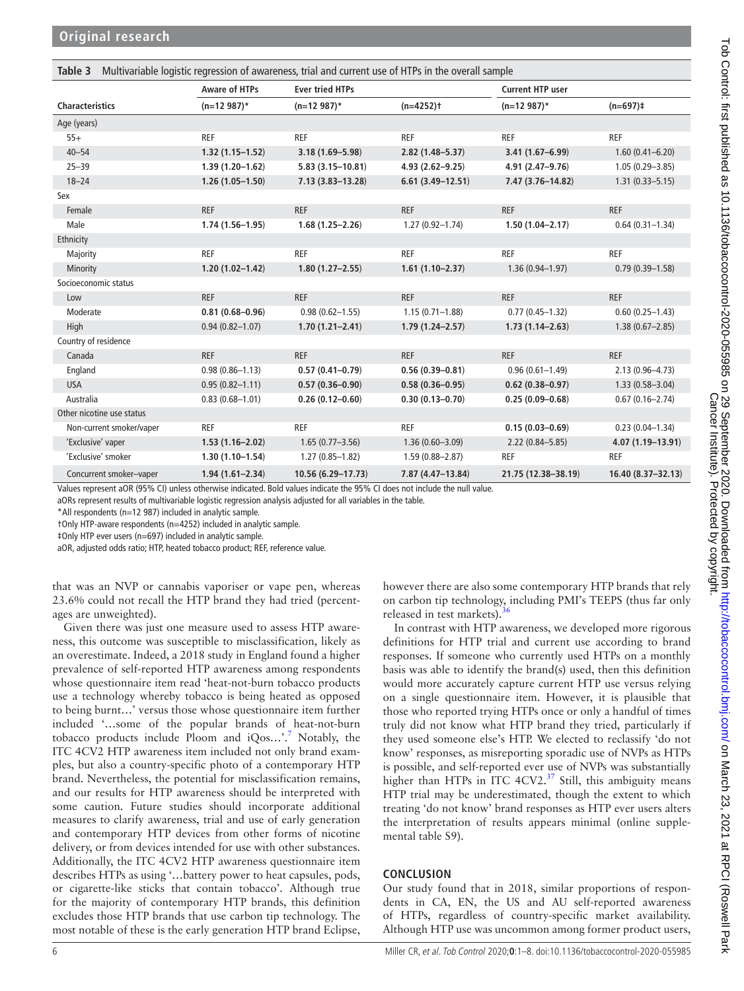<span id="page-5-0"></span>

| Multivariable logistic regression of awareness, trial and current use of HTPs in the overall sample<br>Table 3 |                      |                        |                         |                         |                      |
|----------------------------------------------------------------------------------------------------------------|----------------------|------------------------|-------------------------|-------------------------|----------------------|
|                                                                                                                | <b>Aware of HTPs</b> | <b>Ever tried HTPs</b> |                         | <b>Current HTP user</b> |                      |
| <b>Characteristics</b>                                                                                         | $(n=12987)^*$        | $(n=12987)^*$          | $(n=4252)$ <sup>+</sup> | $(n=12987)^*$           | $(n=697)$ ‡          |
| Age (years)                                                                                                    |                      |                        |                         |                         |                      |
| $55+$                                                                                                          | <b>REF</b>           | <b>REF</b>             | <b>REF</b>              | <b>REF</b>              | <b>REF</b>           |
| $40 - 54$                                                                                                      | $1.32(1.15 - 1.52)$  | $3.18(1.69 - 5.98)$    | $2.82(1.48 - 5.37)$     | $3.41(1.67 - 6.99)$     | $1.60(0.41 - 6.20)$  |
| $25 - 39$                                                                                                      | $1.39(1.20 - 1.62)$  | $5.83(3.15 - 10.81)$   | $4.93(2.62 - 9.25)$     | 4.91 (2.47-9.76)        | $1.05(0.29 - 3.85)$  |
| $18 - 24$                                                                                                      | $1.26(1.05 - 1.50)$  | $7.13(3.83 - 13.28)$   | $6.61(3.49 - 12.51)$    | 7.47 (3.76-14.82)       | $1.31(0.33 - 5.15)$  |
| Sex                                                                                                            |                      |                        |                         |                         |                      |
| Female                                                                                                         | <b>REF</b>           | <b>REF</b>             | <b>REF</b>              | <b>REF</b>              | <b>REF</b>           |
| Male                                                                                                           | $1.74(1.56 - 1.95)$  | $1.68(1.25 - 2.26)$    | $1.27(0.92 - 1.74)$     | $1.50(1.04 - 2.17)$     | $0.64(0.31 - 1.34)$  |
| Ethnicity                                                                                                      |                      |                        |                         |                         |                      |
| Majority                                                                                                       | <b>REF</b>           | <b>REF</b>             | <b>REF</b>              | <b>REF</b>              | <b>REF</b>           |
| Minority                                                                                                       | $1.20(1.02 - 1.42)$  | $1.80(1.27 - 2.55)$    | $1.61(1.10 - 2.37)$     | $1.36(0.94 - 1.97)$     | $0.79(0.39 - 1.58)$  |
| Socioeconomic status                                                                                           |                      |                        |                         |                         |                      |
| Low                                                                                                            | <b>REF</b>           | <b>REF</b>             | <b>REF</b>              | <b>REF</b>              | <b>REF</b>           |
| Moderate                                                                                                       | $0.81(0.68 - 0.96)$  | $0.98(0.62 - 1.55)$    | $1.15(0.71 - 1.88)$     | $0.77(0.45 - 1.32)$     | $0.60(0.25 - 1.43)$  |
| High                                                                                                           | $0.94(0.82 - 1.07)$  | $1.70(1.21 - 2.41)$    | $1.79(1.24 - 2.57)$     | $1.73(1.14 - 2.63)$     | $1.38(0.67 - 2.85)$  |
| Country of residence                                                                                           |                      |                        |                         |                         |                      |
| Canada                                                                                                         | <b>REF</b>           | <b>REF</b>             | <b>REF</b>              | <b>REF</b>              | <b>REF</b>           |
| England                                                                                                        | $0.98(0.86 - 1.13)$  | $0.57(0.41 - 0.79)$    | $0.56(0.39 - 0.81)$     | $0.96(0.61 - 1.49)$     | $2.13(0.96 - 4.73)$  |
| <b>USA</b>                                                                                                     | $0.95(0.82 - 1.11)$  | $0.57(0.36 - 0.90)$    | $0.58(0.36 - 0.95)$     | $0.62(0.38 - 0.97)$     | $1.33(0.58 - 3.04)$  |
| Australia                                                                                                      | $0.83(0.68 - 1.01)$  | $0.26(0.12 - 0.60)$    | $0.30(0.13 - 0.70)$     | $0.25(0.09 - 0.68)$     | $0.67(0.16 - 2.74)$  |
| Other nicotine use status                                                                                      |                      |                        |                         |                         |                      |
| Non-current smoker/vaper                                                                                       | <b>REF</b>           | <b>REF</b>             | <b>REF</b>              | $0.15(0.03 - 0.69)$     | $0.23(0.04 - 1.34)$  |
| 'Exclusive' vaper                                                                                              | $1.53(1.16 - 2.02)$  | $1.65(0.77 - 3.56)$    | $1.36(0.60 - 3.09)$     | $2.22(0.84 - 5.85)$     | $4.07(1.19 - 13.91)$ |
| 'Exclusive' smoker                                                                                             | $1.30(1.10 - 1.54)$  | $1.27(0.85 - 1.82)$    | $1.59(0.88 - 2.87)$     | <b>REF</b>              | <b>REF</b>           |
| Concurrent smoker-vaper                                                                                        | $1.94(1.61 - 2.34)$  | 10.56 (6.29-17.73)     | $7.87(4.47 - 13.84)$    | 21.75 (12.38-38.19)     | 16.40 (8.37-32.13)   |

Values represent aOR (95% CI) unless otherwise indicated. Bold values indicate the 95% CI does not include the null value.

aORs represent results of multivariable logistic regression analysis adjusted for all variables in the table.

\*All respondents (n=12 987) included in analytic sample.

†Only HTP-aware respondents (n=4252) included in analytic sample.

‡Only HTP ever users (n=697) included in analytic sample.

aOR, adjusted odds ratio; HTP, heated tobacco product; REF, reference value.

that was an NVP or cannabis vaporiser or vape pen, whereas 23.6% could not recall the HTP brand they had tried (percentages are unweighted).

Given there was just one measure used to assess HTP awareness, this outcome was susceptible to misclassification, likely as an overestimate. Indeed, a 2018 study in England found a higher prevalence of self-reported HTP awareness among respondents whose questionnaire item read 'heat-not-burn tobacco products use a technology whereby tobacco is being heated as opposed to being burnt…' versus those whose questionnaire item further included '…some of the popular brands of heat-not-burn tobacco products include Ploom and  $iQos...$ <sup>[7](#page-7-1)</sup> Notably, the ITC 4CV2 HTP awareness item included not only brand examples, but also a country-specific photo of a contemporary HTP brand. Nevertheless, the potential for misclassification remains, and our results for HTP awareness should be interpreted with some caution. Future studies should incorporate additional measures to clarify awareness, trial and use of early generation and contemporary HTP devices from other forms of nicotine delivery, or from devices intended for use with other substances. Additionally, the ITC 4CV2 HTP awareness questionnaire item describes HTPs as using '…battery power to heat capsules, pods, or cigarette-like sticks that contain tobacco'. Although true for the majority of contemporary HTP brands, this definition excludes those HTP brands that use carbon tip technology. The most notable of these is the early generation HTP brand Eclipse,

however there are also some contemporary HTP brands that rely on carbon tip technology, including PMI's TEEPS (thus far only released in test markets).

In contrast with HTP awareness, we developed more rigorous definitions for HTP trial and current use according to brand responses. If someone who currently used HTPs on a monthly basis was able to identify the brand(s) used, then this definition would more accurately capture current HTP use versus relying on a single questionnaire item. However, it is plausible that those who reported trying HTPs once or only a handful of times truly did not know what HTP brand they tried, particularly if they used someone else's HTP. We elected to reclassify 'do not know' responses, as misreporting sporadic use of NVPs as HTPs is possible, and self-reported ever use of NVPs was substantially higher than HTPs in ITC 4CV2.<sup>[37](#page-7-25)</sup> Still, this ambiguity means HTP trial may be underestimated, though the extent to which treating 'do not know' brand responses as HTP ever users alters the interpretation of results appears minimal ([online supple](https://dx.doi.org/10.1136/tobaccocontrol-2020-055985)[mental table S9](https://dx.doi.org/10.1136/tobaccocontrol-2020-055985)).

## **CONCLUSION**

Our study found that in 2018, similar proportions of respondents in CA, EN, the US and AU self-reported awareness of HTPs, regardless of country-specific market availability. Although HTP use was uncommon among former product users,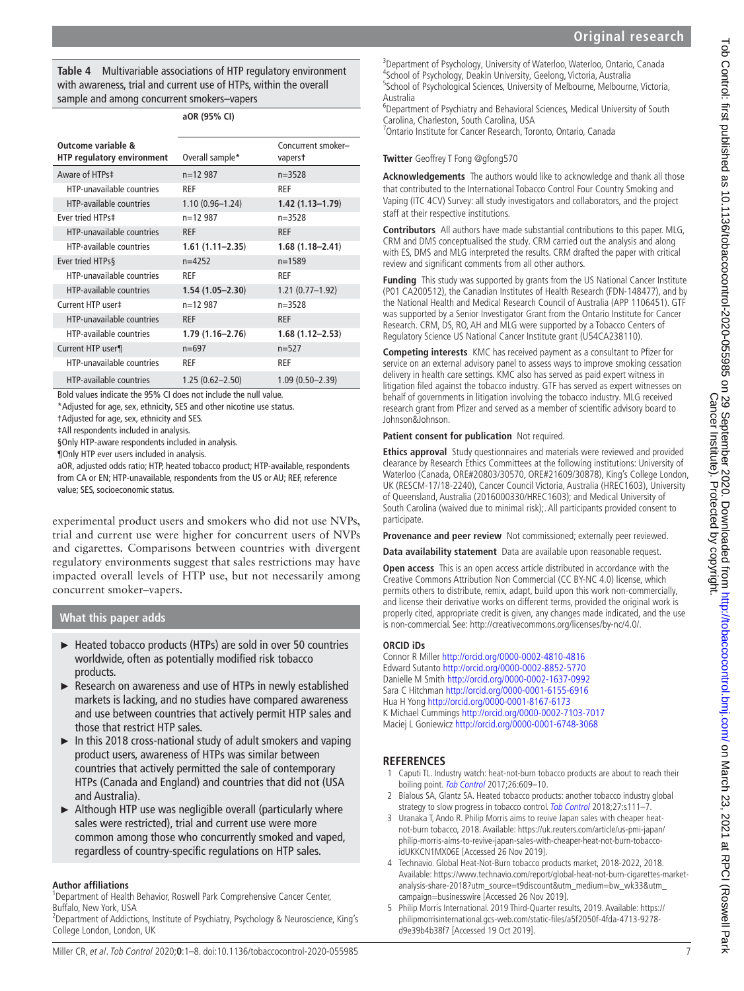<span id="page-6-5"></span>**Table 4** Multivariable associations of HTP regulatory environment with awareness, trial and current use of HTPs, within the overall sample and among concurrent smokers–vapers

|                                                         | aOR (95% CI)        |                               |
|---------------------------------------------------------|---------------------|-------------------------------|
| Outcome variable &<br><b>HTP regulatory environment</b> | Overall sample*     | Concurrent smoker-<br>vaperst |
| Aware of HTPs‡                                          | $n=12987$           | $n = 3528$                    |
| HTP-unavailable countries                               | <b>RFF</b>          | <b>RFF</b>                    |
| <b>HTP-available countries</b>                          | $1.10(0.96 - 1.24)$ | $1.42(1.13 - 1.79)$           |
| Fver tried HTPs‡                                        | $n=12987$           | $n = 3528$                    |
| HTP-unavailable countries                               | <b>RFF</b>          | <b>RFF</b>                    |
| <b>HTP-available countries</b>                          | $1.61(1.11 - 2.35)$ | $1.68(1.18 - 2.41)$           |
| Ever tried HTPs§                                        | $n=4252$            | $n = 1589$                    |
| HTP-unavailable countries                               | <b>RFF</b>          | <b>RFF</b>                    |
| <b>HTP-available countries</b>                          | $1.54(1.05 - 2.30)$ | $1.21(0.77-1.92)$             |
| Current HTP user‡                                       | $n=12987$           | $n = 3528$                    |
| HTP-unavailable countries                               | <b>RFF</b>          | <b>RFF</b>                    |
| <b>HTP-available countries</b>                          | $1.79(1.16 - 2.76)$ | $1.68(1.12 - 2.53)$           |
| Current HTP user¶                                       | $n=697$             | $n=527$                       |
| HTP-unavailable countries                               | <b>RFF</b>          | <b>RFF</b>                    |
| <b>HTP-available countries</b>                          | $1.25(0.62 - 2.50)$ | $1.09(0.50 - 2.39)$           |

Bold values indicate the 95% CI does not include the null value.

\*Adjusted for age, sex, ethnicity, SES and other nicotine use status.

†Adjusted for age, sex, ethnicity and SES.

‡All respondents included in analysis.

§Only HTP-aware respondents included in analysis.

¶Only HTP ever users included in analysis.

aOR, adjusted odds ratio; HTP, heated tobacco product; HTP-available, respondents from CA or EN; HTP-unavailable, respondents from the US or AU; REF, reference value; SES, socioeconomic status.

experimental product users and smokers who did not use NVPs, trial and current use were higher for concurrent users of NVPs and cigarettes. Comparisons between countries with divergent regulatory environments suggest that sales restrictions may have impacted overall levels of HTP use, but not necessarily among concurrent smoker–vapers.

## **What this paper adds**

- ► Heated tobacco products (HTPs) are sold in over 50 countries worldwide, often as potentially modified risk tobacco products.
- ► Research on awareness and use of HTPs in newly established markets is lacking, and no studies have compared awareness and use between countries that actively permit HTP sales and those that restrict HTP sales.
- ► In this 2018 cross-national study of adult smokers and vaping product users, awareness of HTPs was similar between countries that actively permitted the sale of contemporary HTPs (Canada and England) and countries that did not (USA and Australia).
- ► Although HTP use was negligible overall (particularly where sales were restricted), trial and current use were more common among those who concurrently smoked and vaped, regardless of country-specific regulations on HTP sales.

#### **Author affiliations**

<sup>1</sup>Department of Health Behavior, Roswell Park Comprehensive Cancer Center, Buffalo, New York, USA

<sup>2</sup> Department of Addictions, Institute of Psychiatry, Psychology & Neuroscience, King's College London, London, UK

<sup>3</sup>Department of Psychology, University of Waterloo, Waterloo, Ontario, Canada 4 School of Psychology, Deakin University, Geelong, Victoria, Australia <sup>5</sup>School of Psychological Sciences, University of Melbourne, Melbourne, Victoria, Australia

6 Department of Psychiatry and Behavioral Sciences, Medical University of South Carolina, Charleston, South Carolina, USA

7 Ontario Institute for Cancer Research, Toronto, Ontario, Canada

**Twitter** Geoffrey T Fong [@gfong570](https://twitter.com/gfong570)

**Acknowledgements** The authors would like to acknowledge and thank all those that contributed to the International Tobacco Control Four Country Smoking and Vaping (ITC 4CV) Survey: all study investigators and collaborators, and the project staff at their respective institutions.

**Contributors** All authors have made substantial contributions to this paper. MLG, CRM and DMS conceptualised the study. CRM carried out the analysis and along with ES, DMS and MLG interpreted the results. CRM drafted the paper with critical review and significant comments from all other authors.

**Funding** This study was supported by grants from the US National Cancer Institute (P01 CA200512), the Canadian Institutes of Health Research (FDN-148477), and by the National Health and Medical Research Council of Australia (APP 1106451). GTF was supported by a Senior Investigator Grant from the Ontario Institute for Cancer Research. CRM, DS, RO, AH and MLG were supported by a Tobacco Centers of Regulatory Science US National Cancer Institute grant (U54CA238110).

**Competing interests** KMC has received payment as a consultant to Pfizer for service on an external advisory panel to assess ways to improve smoking cessation delivery in health care settings. KMC also has served as paid expert witness in litigation filed against the tobacco industry. GTF has served as expert witnesses on behalf of governments in litigation involving the tobacco industry. MLG received research grant from Pfizer and served as a member of scientific advisory board to Johnson&Johnson.

#### **Patient consent for publication** Not required.

**Ethics approval** Study questionnaires and materials were reviewed and provided clearance by Research Ethics Committees at the following institutions: University of Waterloo (Canada, ORE#20803/30570, ORE#21609/30878), King's College London, UK (RESCM-17/18-2240), Cancer Council Victoria, Australia (HREC1603), University of Queensland, Australia (2016000330/HREC1603); and Medical University of South Carolina (waived due to minimal risk);. All participants provided consent to participate.

**Provenance and peer review** Not commissioned; externally peer reviewed.

**Data availability statement** Data are available upon reasonable request.

**Open access** This is an open access article distributed in accordance with the Creative Commons Attribution Non Commercial (CC BY-NC 4.0) license, which permits others to distribute, remix, adapt, build upon this work non-commercially, and license their derivative works on different terms, provided the original work is properly cited, appropriate credit is given, any changes made indicated, and the use is non-commercial. See: [http://creativecommons.org/licenses/by-nc/4.0/.](http://creativecommons.org/licenses/by-nc/4.0/)

#### **ORCID iDs**

Connor R Miller<http://orcid.org/0000-0002-4810-4816> Edward Sutanto <http://orcid.org/0000-0002-8852-5770> Danielle M Smith<http://orcid.org/0000-0002-1637-0992> Sara C Hitchman<http://orcid.org/0000-0001-6155-6916> Hua H Yong <http://orcid.org/0000-0001-8167-6173> K Michael Cummings<http://orcid.org/0000-0002-7103-7017> Maciej L Goniewicz <http://orcid.org/0000-0001-6748-3068>

#### **REFERENCES**

- <span id="page-6-0"></span>1 Caputi TL. Industry watch: heat-not-burn tobacco products are about to reach their boiling point. [Tob Control](http://dx.doi.org/10.1136/tobaccocontrol-2016-053264) 2017:26:609-10.
- <span id="page-6-1"></span>2 Bialous SA, Glantz SA. Heated tobacco products: another tobacco industry global strategy to slow progress in tobacco control. [Tob Control](http://dx.doi.org/10.1136/tobaccocontrol-2018-054340) 2018;27:s111-7.
- <span id="page-6-2"></span>3 Uranaka T, Ando R. Philip Morris aims to revive Japan sales with cheaper heatnot-burn tobacco, 2018. Available: [https://uk.reuters.com/article/us-pmi-japan/](https://uk.reuters.com/article/us-pmi-japan/philip-morris-aims-to-revive-japan-sales-with-cheaper-heat-not-burn-tobacco-idUKKCN1MX06E) [philip-morris-aims-to-revive-japan-sales-with-cheaper-heat-not-burn-tobacco](https://uk.reuters.com/article/us-pmi-japan/philip-morris-aims-to-revive-japan-sales-with-cheaper-heat-not-burn-tobacco-idUKKCN1MX06E)[idUKKCN1MX06E](https://uk.reuters.com/article/us-pmi-japan/philip-morris-aims-to-revive-japan-sales-with-cheaper-heat-not-burn-tobacco-idUKKCN1MX06E) [Accessed 26 Nov 2019].
- <span id="page-6-3"></span>4 Technavio. Global Heat-Not-Burn tobacco products market, 2018-2022, 2018. Available: [https://www.technavio.com/report/global-heat-not-burn-cigarettes-market](https://www.technavio.com/report/global-heat-not-burn-cigarettes-market-analysis-share-2018?utm_source=t9discount&utm_medium=bw_wk33&utm_campaign=businesswire)[analysis-share-2018?utm\\_source=t9discount&utm\\_medium=bw\\_wk33&utm\\_](https://www.technavio.com/report/global-heat-not-burn-cigarettes-market-analysis-share-2018?utm_source=t9discount&utm_medium=bw_wk33&utm_campaign=businesswire) [campaign=businesswire](https://www.technavio.com/report/global-heat-not-burn-cigarettes-market-analysis-share-2018?utm_source=t9discount&utm_medium=bw_wk33&utm_campaign=businesswire) [Accessed 26 Nov 2019].
- <span id="page-6-4"></span>5 Philip Morris International. 2019 Third-Quarter results, 2019. Available: [https://](https://philipmorrisinternational.gcs-web.com/static-files/a5f2050f-4fda-4713-9278-d9e39b4b38f7) [philipmorrisinternational.gcs-web.com/static-files/a5f2050f-4fda-4713-9278](https://philipmorrisinternational.gcs-web.com/static-files/a5f2050f-4fda-4713-9278-d9e39b4b38f7) [d9e39b4b38f7](https://philipmorrisinternational.gcs-web.com/static-files/a5f2050f-4fda-4713-9278-d9e39b4b38f7) [Accessed 19 Oct 2019].